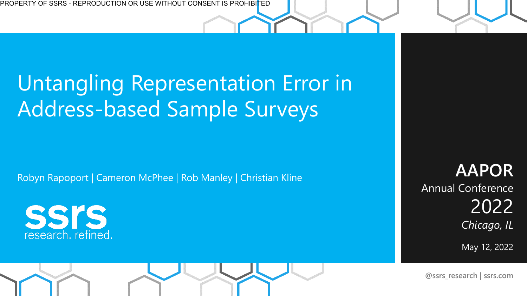### Untangling Representation Error in Address-based Sample Surveys

Robyn Rapoport | Cameron McPhee | Rob Manley | Christian Kline

**SSIS** research. refined.

**AAPOR**  Annual Conference 2022 *Chicago, IL*

May 12, 2022

**@ssrs\_research | ssrs.com**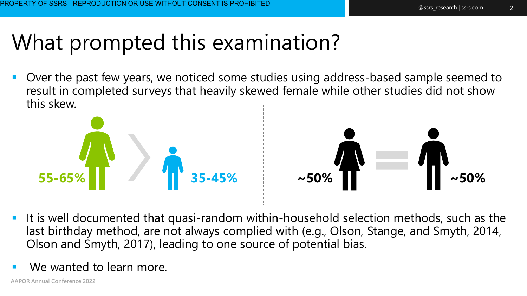### What prompted this examination?

Over the past few years, we noticed some studies using address-based sample seemed to result in completed surveys that heavily skewed female while other studies did not show this skew.





- **E** It is well documented that quasi-random within-household selection methods, such as the last birthday method, are not always complied with (e.g., Olson, Stange, and Smyth, 2014, Olson and Smyth, 2017), leading to one source of potential bias.
- We wanted to learn more.

**AAPOR Annual Conference 2022**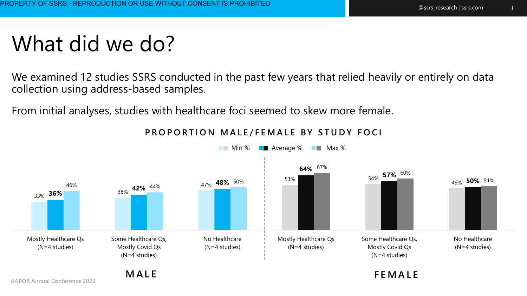#### What did we do?

We examined 12 studies SSRS conducted in the past few years that relied heavily or entirely on data collection using address-based samples.

From initial analyses, studies with healthcare foci seemed to skew more female.



#### **PROPORTION MALE/FEMALE BY STUDY FOCI**

**AAPOR Annual Conference 2022** 

**M A L E F E M A L E**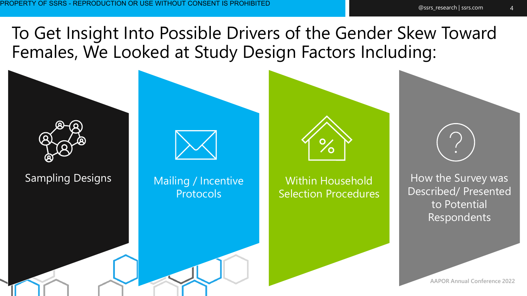To Get Insight Into Possible Drivers of the Gender Skew Toward Females, We Looked at Study Design Factors Including:



4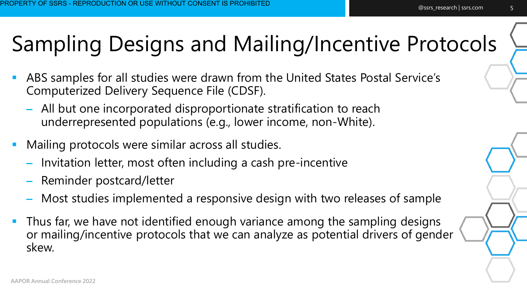## Sampling Designs and Mailing/Incentive Protocols

- ABS samples for all studies were drawn from the United States Postal Service's Computerized Delivery Sequence File (CDSF).
	- All but one incorporated disproportionate stratification to reach underrepresented populations (e.g., lower income, non-White).
- Mailing protocols were similar across all studies.
	- Invitation letter, most often including a cash pre-incentive
	- Reminder postcard/letter
	- Most studies implemented a responsive design with two releases of sample
- Thus far, we have not identified enough variance among the sampling designs or mailing/incentive protocols that we can analyze as potential drivers of gender skew.

5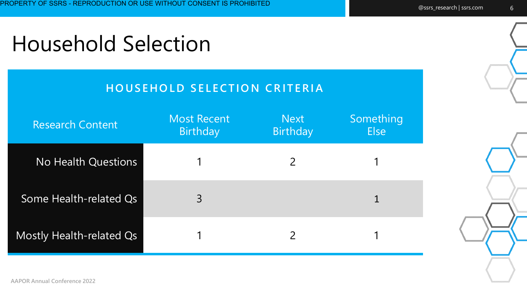#### Household Selection

#### **HOUSEHOLD SELECTION CRITERIA**

| <b>Research Content</b>  | Most Recent<br><b>Birthday</b> | <b>Next</b><br><b>Birthday</b> | Something<br><b>Else</b> |
|--------------------------|--------------------------------|--------------------------------|--------------------------|
| No Health Questions      |                                |                                |                          |
| Some Health-related Qs   | $\overline{3}$                 |                                |                          |
| Mostly Health-related Qs |                                |                                |                          |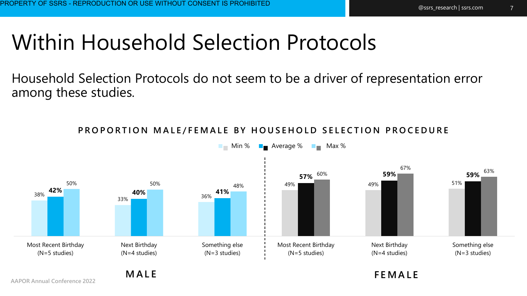### Within Household Selection Protocols

Household Selection Protocols do not seem to be a driver of representation error among these studies.



PROPORTION MALE/FEMALE BY HOUSEHOLD SELECTION PROCEDURE

**AAPOR Annual Conference 2022** 

**M A L E F E M A L E**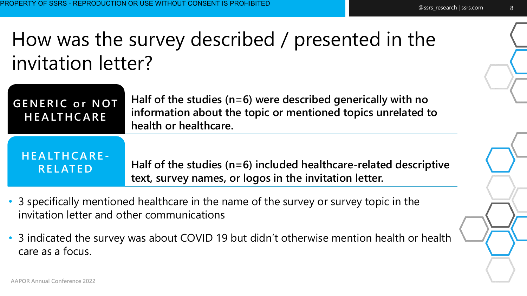#### How was the survey described / presented in the invitation letter?

| <b>GENERIC or NOT</b><br><b>HEALTHCARE</b> | Half of the studies ( $n=6$ ) were described generically with no<br>information about the topic or mentioned topics unrelated to<br>health or healthcare. |
|--------------------------------------------|-----------------------------------------------------------------------------------------------------------------------------------------------------------|
| HEALTHCARE-                                | Half of the studies ( $n=6$ ) included healthcare-related descriptive                                                                                     |
| RELATED                                    | text, survey names, or logos in the invitation letter.                                                                                                    |

- 3 specifically mentioned healthcare in the name of the survey or survey topic in the invitation letter and other communications
- 3 indicated the survey was about COVID 19 but didn't otherwise mention health or health care as a focus.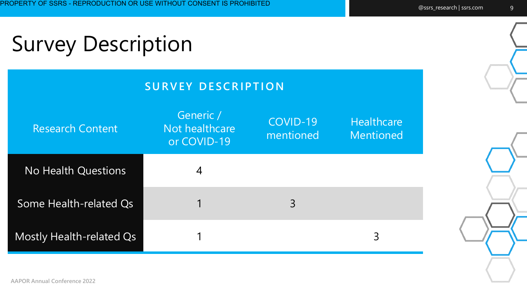# Survey Description

| <b>SURVEY DESCRIPTION</b>       |                                            |                       |                         |  |  |
|---------------------------------|--------------------------------------------|-----------------------|-------------------------|--|--|
| <b>Research Content</b>         | Generic /<br>Not healthcare<br>or COVID-19 | COVID-19<br>mentioned | Healthcare<br>Mentioned |  |  |
| <b>No Health Questions</b>      | 4                                          |                       |                         |  |  |
| Some Health-related Qs          |                                            | 3                     |                         |  |  |
| <b>Mostly Health-related Qs</b> |                                            |                       | 3                       |  |  |

**AAPOR Annual Conference 2022**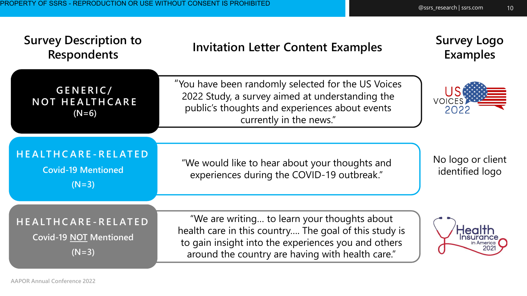| <b>Survey Description to</b><br><b>Respondents</b>             | <b>Invitation Letter Content Examples</b>                                                                                                                                                                        | <b>Survey Logo</b><br><b>Examples</b> |
|----------------------------------------------------------------|------------------------------------------------------------------------------------------------------------------------------------------------------------------------------------------------------------------|---------------------------------------|
| GENERIC/<br><b>NOT HEALTHCARE</b><br>$(N=6)$                   | "You have been randomly selected for the US Voices<br>2022 Study, a survey aimed at understanding the<br>public's thoughts and experiences about events<br>currently in the news."                               | <b>VOICES</b><br>2022                 |
| HEALTHCARE-RELATED<br><b>Covid-19 Mentioned</b><br>$(N=3)$     | "We would like to hear about your thoughts and<br>experiences during the COVID-19 outbreak."                                                                                                                     | No logo or client<br>identified logo  |
| HEALTHCARE-RELATED<br><b>Covid-19 NOT Mentioned</b><br>$(N=3)$ | "We are writing to learn your thoughts about<br>health care in this country The goal of this study is<br>to gain insight into the experiences you and others<br>around the country are having with health care." |                                       |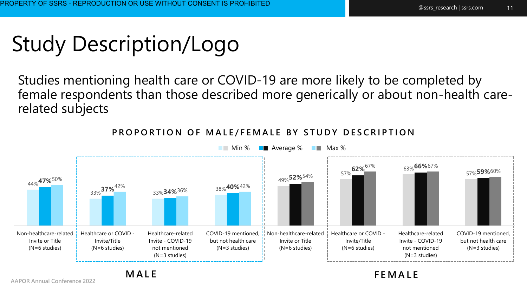#### Study Description/Logo

Studies mentioning health care or COVID-19 are more likely to be completed by female respondents than those described more generically or about non-health carerelated subjects



#### **PROPORTION OF MALE/FEMALE BY STUDY DESCRIPTION**

**Min % B** Average % **Max %** 

**AAPOR Annual Conference 2022** 

**M A L E F E M A L E**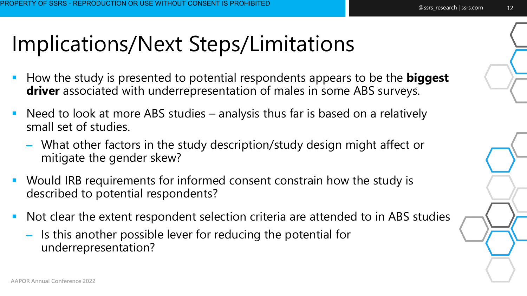### Implications/Next Steps/Limitations

- How the study is presented to potential respondents appears to be the **biggest**  driver associated with underrepresentation of males in some ABS surveys.
- Need to look at more ABS studies analysis thus far is based on a relatively small set of studies.
	- What other factors in the study description/study design might affect or mitigate the gender skew?
- Would IRB requirements for informed consent constrain how the study is described to potential respondents?
- Not clear the extent respondent selection criteria are attended to in ABS studies
	- Is this another possible lever for reducing the potential for underrepresentation?